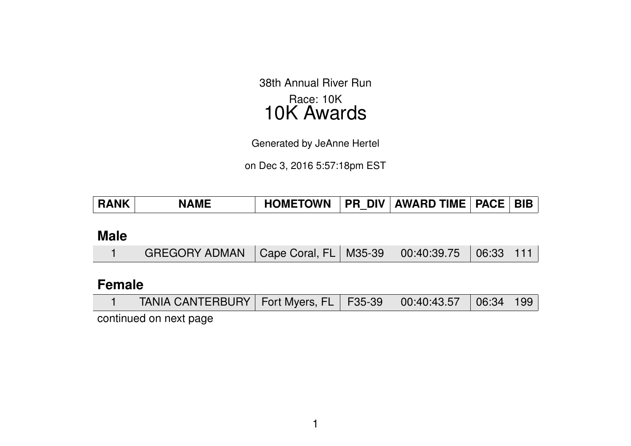38th Annual River Run Race: 10K 10K Awards

Generated by JeAnne Hertel

on Dec 3, 2016 5:57:18pm EST

| HOMETOWN   PR DIV   AWARD TIME   PACE   BIB  <br><b>RANK</b><br><b>NAME</b> |
|-----------------------------------------------------------------------------|
|-----------------------------------------------------------------------------|

### **Male**

|  | GREGORY ADMAN   Cape Coral, FL   M35-39   00:40:39.75   06:33   111 |  |  |  |  |  |
|--|---------------------------------------------------------------------|--|--|--|--|--|
|--|---------------------------------------------------------------------|--|--|--|--|--|

### **Female**

|  |  | TANIA CANTERBURY   Fort Myers, FL   F35-39   00:40:43.57   06:34   199 |  |  |  |  |  |
|--|--|------------------------------------------------------------------------|--|--|--|--|--|
|--|--|------------------------------------------------------------------------|--|--|--|--|--|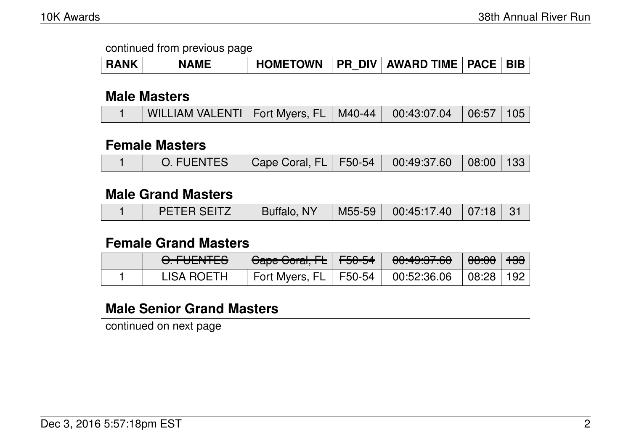| <b>RANK</b> | <b>NAME</b> | <b>HOMETOWN</b> |  | <b>PR DIV AWARD TIME PACE BIB</b> |  |  |
|-------------|-------------|-----------------|--|-----------------------------------|--|--|
|-------------|-------------|-----------------|--|-----------------------------------|--|--|

#### **Male Masters**

|  | WILLIAM VALENTI   Fort Myers, FL   M40-44   00:43:07.04   06:57   105 |  |  |  |  |  |
|--|-----------------------------------------------------------------------|--|--|--|--|--|
|--|-----------------------------------------------------------------------|--|--|--|--|--|

#### **Female Masters**

|  | O. FUENTES   Cape Coral, FL   F50-54   00:49:37.60   08:00   133 |  |  |  |  |  |
|--|------------------------------------------------------------------|--|--|--|--|--|
|--|------------------------------------------------------------------|--|--|--|--|--|

#### **Male Grand Masters**

|  | PETER SEITZ | Buffalo, NY |  | M55-59   00:45:17.40   07:18   31 |  |  |
|--|-------------|-------------|--|-----------------------------------|--|--|
|--|-------------|-------------|--|-----------------------------------|--|--|

#### **Female Grand Masters**

| <u>A FLIENITER</u><br><del>U.TULIVILJ</del> | <del>Cape Coral, FL</del>   <del>F50-54</del> |  |  |
|---------------------------------------------|-----------------------------------------------|--|--|
| <b>LISA ROETH</b>                           |                                               |  |  |

## **Male Senior Grand Masters**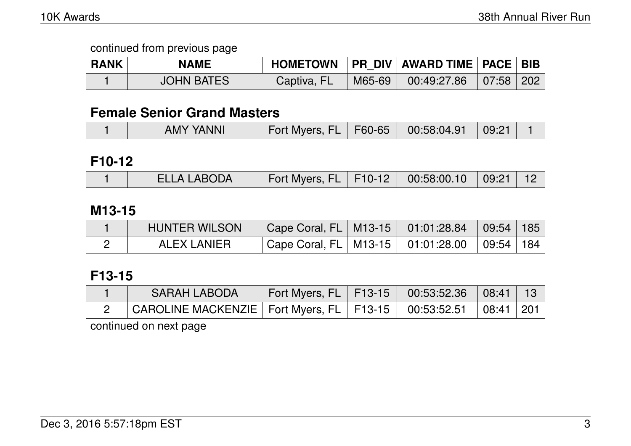| <b>RANK</b> | <b>NAME</b>       | <b>HOMETOWN</b> |        |                         |  |
|-------------|-------------------|-----------------|--------|-------------------------|--|
|             | <b>JOHN BATES</b> | Captiva, FL     | M65-69 | $00:49:27.86$ 07:58 202 |  |

### **Female Senior Grand Masters**

| <b>AMY YANNI</b><br>Fort Myers, FL   F60-65   00:58:04.91 | 09:21 |
|-----------------------------------------------------------|-------|
|-----------------------------------------------------------|-------|

#### **F10-12**

|  | <b>ELLA LABODA</b> | Fort Myers, FL   F10-12   00:58:00.10   09:21   12 |  |  |  |  |
|--|--------------------|----------------------------------------------------|--|--|--|--|
|--|--------------------|----------------------------------------------------|--|--|--|--|

### **M13-15**

| <b>HUNTER WILSON</b> | Cape Coral, FL   M13-15   01:01:28.84   09:54   185 |  |  |
|----------------------|-----------------------------------------------------|--|--|
| ALEX LANIER          | Cape Coral, FL   M13-15   01:01:28.00   09:54   184 |  |  |

### **F13-15**

| <b>SARAH LABODA</b>                                                      | Fort Myers, FL   F13-15   00:53:52.36   08:41   13 |  |  |
|--------------------------------------------------------------------------|----------------------------------------------------|--|--|
| CAROLINE MACKENZIE   Fort Myers, FL   F13-15   00:53:52.51   08:41   201 |                                                    |  |  |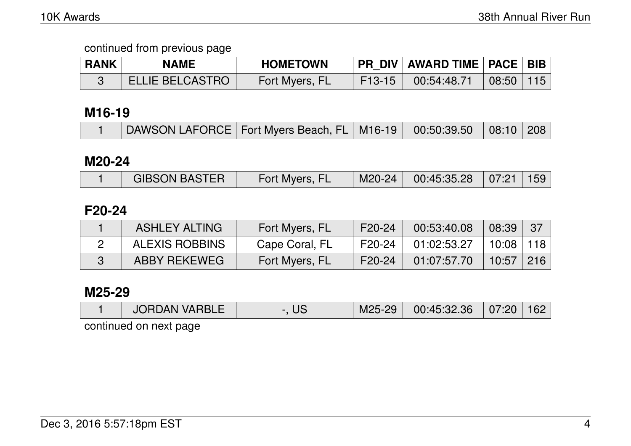| <b>RANK</b> | <b>NAME</b>            | <b>HOMETOWN</b> | <b>PR DIV AWARD TIME PACE BIB</b> |                                |  |
|-------------|------------------------|-----------------|-----------------------------------|--------------------------------|--|
|             | <b>ELLIE BELCASTRO</b> | Fort Myers, FL  | $F13-15$ 00:54:48.71              | $\mid$ 08:50 $\mid$ 115 $\mid$ |  |

### **M16-19**

| DAWSON LAFORCE   Fort Myers Beach, FL   M16-19   00:50:39.50   08:10   208 |
|----------------------------------------------------------------------------|
|----------------------------------------------------------------------------|

#### **M20-24**

|  | <b>GIBSON BASTER</b> | Fort Myers, FL |  | M20-24   00:45:35.28   07:21   159 |  |  |
|--|----------------------|----------------|--|------------------------------------|--|--|
|--|----------------------|----------------|--|------------------------------------|--|--|

### **F20-24**

| <b>ASHLEY ALTING</b>  | Fort Myers, FL | F20-24              | 00:53:40.08            | 08:39         | 37 |
|-----------------------|----------------|---------------------|------------------------|---------------|----|
| <b>ALEXIS ROBBINS</b> | Cape Coral, FL |                     | $F20-24$   01:02:53.27 | 10:08 118     |    |
| ABBY REKEWEG          | Fort Myers, FL | F <sub>20</sub> -24 | 01:07:57.70            | $10:57$   216 |    |

#### **M25-29**

|  | <b>JORDAN VARBLE</b> | US |  | M25-29   00:45:32.36   07:20   162 |  |  |
|--|----------------------|----|--|------------------------------------|--|--|
|--|----------------------|----|--|------------------------------------|--|--|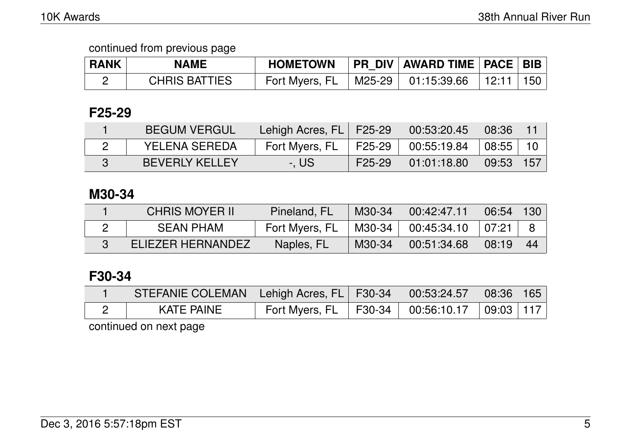| <b>RANK</b> | NAME                 | <b>HOMETOWN</b> | PR_DIV   AWARD TIME   PACE   BIB |       |     |
|-------------|----------------------|-----------------|----------------------------------|-------|-----|
|             | <b>CHRIS BATTIES</b> | Fort Myers, FL  | M25-29   01:15:39.66             | 12:11 | 150 |

## **F25-29**

| <b>BEGUM VERGUL</b>   | Lehigh Acres, FL   F25-29 \ |        | 00:53:20.45 | 08:36 |       |
|-----------------------|-----------------------------|--------|-------------|-------|-------|
| <b>YELENA SEREDA</b>  | Fort Myers, FL              | F25-29 | 00:55:19.84 | 08:55 | $-10$ |
| <b>BEVERLY KELLEY</b> | -. US                       | F25-29 | 01:01:18.80 | 09:53 | -157  |

### **M30-34**

| <b>CHRIS MOYER II</b> | Pineland, FL   | M30-34 | 00:42:47.11 | 06:54 | 130 |
|-----------------------|----------------|--------|-------------|-------|-----|
| <b>SEAN PHAM</b>      | Fort Myers, FL | M30-34 | 00:45:34.10 | 07:21 |     |
| ELIEZER HERNANDEZ     | Naples, FL     | M30-34 | 00:51:34.68 | 08:19 | 44  |

# **F30-34**

| STEFANIE COLEMAN   Lehigh Acres, FL   F30-34   \ |                                       | $\vert$ 00:53:24.57 $\vert$ 08:36 165 |                     |  |
|--------------------------------------------------|---------------------------------------|---------------------------------------|---------------------|--|
| KATE PAINE                                       | Fort Myers, FL   F30-34   00:56:10.17 |                                       | $\vert$ 09:03   117 |  |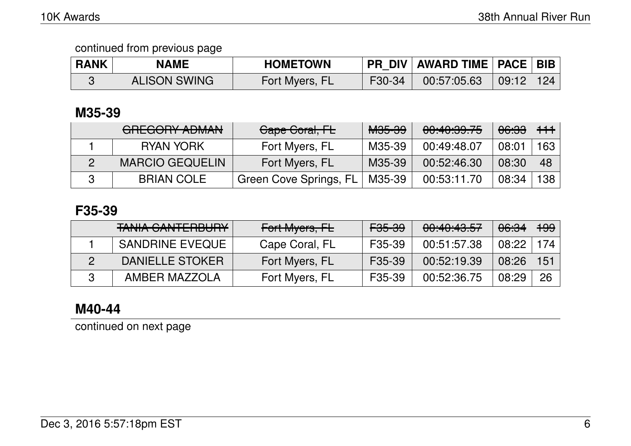| <b>RANK</b> | <b>NAME</b>         | <b>HOMETOWN</b> |        | PR_DIV   AWARD TIME   PACE   BIB |       |     |
|-------------|---------------------|-----------------|--------|----------------------------------|-------|-----|
|             | <b>ALISON SWING</b> | Fort Myers, FL  | F30-34 | 00:57:05.63                      | 09:12 | 124 |

## **M35-39**

| ADEAADV ADMAN<br>UNLUVIII AVIIMIN | Cape Coral, FL         | <del>M35-39</del> | 00:40:39.75 | <del>06:33</del> | $+ + +$ |
|-----------------------------------|------------------------|-------------------|-------------|------------------|---------|
| <b>RYAN YORK</b>                  | Fort Myers, FL         | M35-39            | 00:49:48.07 | 08:01            | 163     |
| <b>MARCIO GEQUELIN</b>            | Fort Myers, FL         | M35-39            | 00:52:46.30 | 08:30            | 48      |
| <b>BRIAN COLE</b>                 | Green Cove Springs, FL | M35-39            | 00:53:11.70 | 08:34            | 138     |

## **F35-39**

| TANILA CANITEDDLIDV<br>TAINIA VAINTENDUNT | Fort Myers, FL | <del>F35-39</del> | 00:40:43.57 | <del>06:34</del> | <del>199</del> |
|-------------------------------------------|----------------|-------------------|-------------|------------------|----------------|
| <b>SANDRINE EVEQUE</b>                    | Cape Coral, FL | F35-39            | 00:51:57.38 | 08:22            | 174            |
| DANIELLE STOKER                           | Fort Myers, FL | F35-39            | 00:52:19.39 | 08:26            | 151            |
| AMBER MAZZOLA                             | Fort Myers, FL | F35-39            | 00:52:36.75 | 08:29            | 26             |

## **M40-44**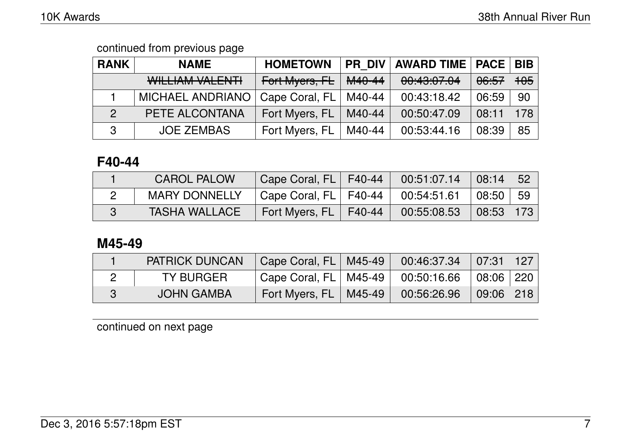| <b>RANK</b>    | <b>NAME</b>             | <b>HOMETOWN</b> | <b>PR DIV</b> | <b>AWARD TIME   PACE</b> |                  | <b>BIB</b> |
|----------------|-------------------------|-----------------|---------------|--------------------------|------------------|------------|
|                | WILLIAM VALENTI         | Fort Myers, FL  | M40-44        | 00:43:07.04              | <del>06:57</del> | 105        |
|                | <b>MICHAEL ANDRIANO</b> | Cape Coral, FL  | M40-44        | 00:43:18.42              | 06:59            | -90        |
| $\overline{2}$ | PETE ALCONTANA          | Fort Myers, FL  | M40-44        | 00:50:47.09              | 08:11            | 178        |
| 3              | <b>JOE ZEMBAS</b>       | Fort Myers, FL  | M40-44        | 00:53:44.16              | 08:39            | 85         |

#### **F40-44**

| <b>CAROL PALOW</b>   | Cape Coral, FL   F40-44                                                         | $00:51:07.14$ 08:14 52  |      |
|----------------------|---------------------------------------------------------------------------------|-------------------------|------|
| <b>MARY DONNELLY</b> | $\vert$ Cape Coral, FL $\vert$ F40-44 $\vert$ 00:54:51.61 $\vert$ 08:50 $\vert$ |                         | ∣ 59 |
| <b>TASHA WALLACE</b> | Fort Myers, FL   F40-44                                                         | $00:55:08.53$ 08:53 173 |      |

## **M45-49**

| <b>PATRICK DUNCAN</b> | Cape Coral, FL   M45-49      |        | $00:46:37.34$ 07:31 127 |                    |  |
|-----------------------|------------------------------|--------|-------------------------|--------------------|--|
| <b>TY BURGER</b>      | Cape Coral, $FL \mid M45-49$ |        | 00:50:16.66             | $\mid$ 08:06   220 |  |
| <b>JOHN GAMBA</b>     | Fort Myers, FL               | M45-49 | 00:56:26.96             | 09:06 218          |  |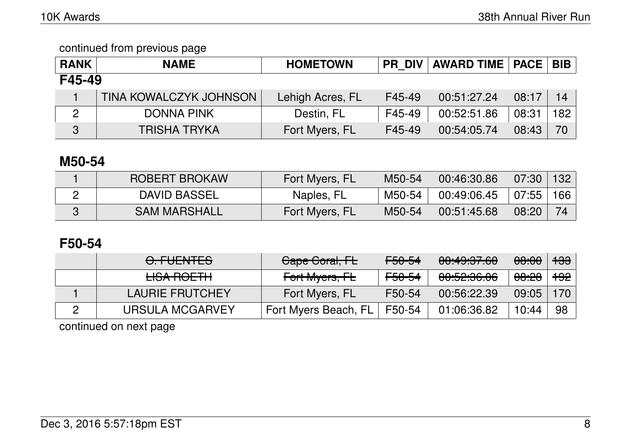| <b>RANK</b>    | <b>NAME</b>            | <b>HOMETOWN</b>  |        | <b>PR DIV   AWARD TIME   PACE   BIB  </b> |       |      |  |  |
|----------------|------------------------|------------------|--------|-------------------------------------------|-------|------|--|--|
| F45-49         |                        |                  |        |                                           |       |      |  |  |
|                | TINA KOWALCZYK JOHNSON | Lehigh Acres, FL | F45-49 | 00:51:27.24                               | 08:17 | 14   |  |  |
| $\overline{2}$ | <b>DONNA PINK</b>      | Destin, FL       | F45-49 | 00:52:51.86                               | 08:31 | 182丨 |  |  |
| 3              | <b>TRISHA TRYKA</b>    | Fort Myers, FL   | F45-49 | 00:54:05.74                               | 08:43 | 70   |  |  |

## **M50-54**

| ROBERT BROKAW       | Fort Myers, FL | M50-54 | 00:46:30.86 | 07:30     | $\vert$ 132 |
|---------------------|----------------|--------|-------------|-----------|-------------|
| <b>DAVID BASSEL</b> | Naples, FL     | M50-54 | 00:49:06.45 | 07:55 166 |             |
| <b>SAM MARSHALL</b> | Fort Myers, FL | M50-54 | 00:51:45.68 | 08:20     |             |

### **F50-54**

| <u>FUENTEC</u><br><del>U. LULIVILU</del> | Gape Goral, FL            | <del>F50-54</del> | 00:49:37.60            | 08:00            | <del>133</del> |
|------------------------------------------|---------------------------|-------------------|------------------------|------------------|----------------|
| <b>LISA ROETH</b>                        | <del>Fort Myers, FL</del> | <del>F50-54</del> | <del>00:52:36.06</del> | <del>08:28</del> | <del>192</del> |
| <b>LAURIE FRUTCHEY</b>                   | Fort Myers, FL            | F50-54            | 00:56:22.39            | 09:05            | 170            |
| URSULA MCGARVEY                          | Fort Myers Beach, FL      | F50-54            | 01:06:36.82            | 10:44            | 98             |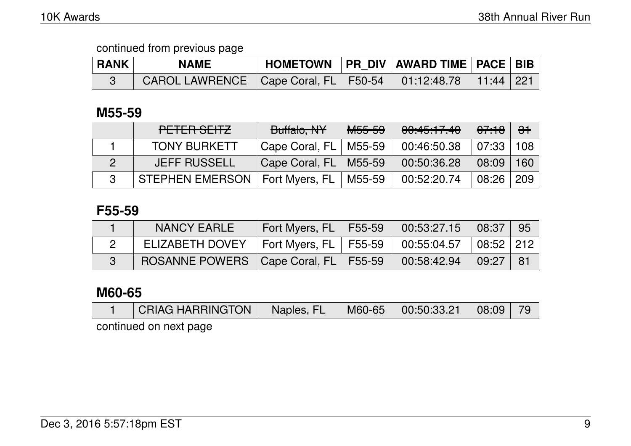| <b>RANK</b> | <b>NAME</b>                                                          | HOMETOWN   PR DIV   AWARD TIME   PACE   BIB |  |  |
|-------------|----------------------------------------------------------------------|---------------------------------------------|--|--|
|             | CAROL LAWRENCE   Cape Coral, FL   F50-54   01:12:48.78   11:44   221 |                                             |  |  |

## **M55-59**

| PETER SEITZ         | Buffalo, NY               | <del>M55-59</del> | 00:45:17.40 | <del>07:18</del> | $\Theta$ <sup>+</sup> |
|---------------------|---------------------------|-------------------|-------------|------------------|-----------------------|
| <b>TONY BURKETT</b> | Cape Coral, $FL$   M55-59 |                   | 00:46:50.38 | $07:33 \mid 108$ |                       |
| <b>JEFF RUSSELL</b> | Cape Coral, FL            | M55-59            | 00:50:36.28 | 08:09            | 160                   |
| STEPHEN EMERSON     | Fort Myers, FL            | M55-59            | 00:52:20.74 | 08:26            | 209                   |

### **F55-59**

| <b>NANCY EARLE</b>                       | Fort Myers, FL   F55-59 | 00:53:27.15                             | 08:37         | - 95 |
|------------------------------------------|-------------------------|-----------------------------------------|---------------|------|
| ELIZABETH DOVEY                          | Fort Myers, FL   F55-59 | $\frac{1}{2}$ 00:55:04.57   08:52   212 |               |      |
| ROSANNE POWERS   Cape Coral, FL   F55-59 |                         | 00:58:42.94                             | $\vert$ 09:27 | - 81 |

## **M60-65**

| <b>CRIAG HARRINGTON</b> | Naples, FL | $\mid$ M60-65 $\mid$ |  |  |
|-------------------------|------------|----------------------|--|--|
|                         |            |                      |  |  |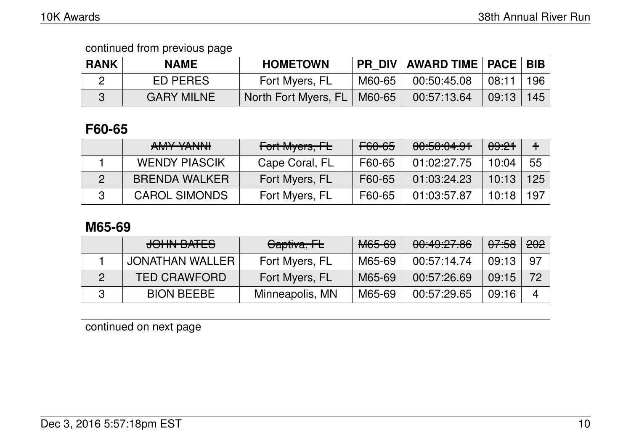| <b>RANK</b> | <b>NAME</b>       | <b>HOMETOWN</b>               |        | PR DIV   AWARD TIME   PACE   BIB |       |       |
|-------------|-------------------|-------------------------------|--------|----------------------------------|-------|-------|
|             | ED PERES          | Fort Myers, FL                | M60-65 | 00:50:45.08                      | 08:11 | 196 l |
|             | <b>GARY MILNE</b> | North Fort Myers, FL   M60-65 |        | 00:57:13.64                      | 09:13 | 145   |

### **F60-65**

| AMAY VANIAIL<br>$\sqrt{N}$ | Fort Myers, FL | <del>F60-65</del> | 00:58:04.91 | <del>09:21</del> |     |
|----------------------------|----------------|-------------------|-------------|------------------|-----|
| <b>WENDY PIASCIK</b>       | Cape Coral, FL | F60-65            | 01:02:27.75 | 10:04            | 55  |
| <b>BRENDA WALKER</b>       | Fort Myers, FL | F60-65            | 01:03:24.23 | 10:13            | 125 |
| <b>CAROL SIMONDS</b>       | Fort Myers, FL | F60-65            | 01:03:57.87 | 10:18            | 197 |

#### **M65-69**

| JOHN BATES          | Captiva, FL     | <b>M65-69</b> | 00:49:27.86 | <del>07:58</del> | 202            |
|---------------------|-----------------|---------------|-------------|------------------|----------------|
| JONATHAN WALLER     | Fort Myers, FL  | M65-69        | 00:57:14.74 | 09:13            | 97             |
| <b>TED CRAWFORD</b> | Fort Myers, FL  | M65-69        | 00:57:26.69 | 09:15            | 72             |
| <b>BION BEEBE</b>   | Minneapolis, MN | M65-69        | 00:57:29.65 | 09:16            | $\overline{4}$ |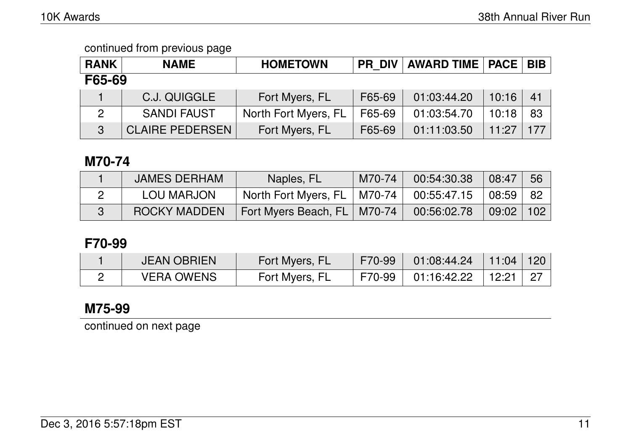| <b>RANK</b> | <b>NAME</b>            | <b>HOMETOWN</b>      | <b>PR DIV</b> | <b>AWARD TIME   PACE</b> |       | <b>BIB</b> |  |
|-------------|------------------------|----------------------|---------------|--------------------------|-------|------------|--|
| F65-69      |                        |                      |               |                          |       |            |  |
|             | C.J. QUIGGLE           | Fort Myers, FL       | F65-69        | 01:03:44.20              | 10:16 | 41         |  |
|             | <b>SANDI FAUST</b>     | North Fort Myers, FL | F65-69        | 01:03:54.70              | 10:18 | 83         |  |
| 3           | <b>CLAIRE PEDERSEN</b> | Fort Myers, FL       | F65-69        | 01:11:03.50              | 11.27 | 177        |  |

## **M70-74**

| <b>JAMES DERHAM</b> | Naples, FL                                  | M70-74 | 00:54:30.38 | 08:47       | -56 |
|---------------------|---------------------------------------------|--------|-------------|-------------|-----|
| LOU MARJON          | North Fort Myers, FL   M70-74   00:55:47.15 |        |             | 08:59 82    |     |
| <b>ROCKY MADDEN</b> | Fort Myers Beach, FL   M70-74               |        | 00:56:02.78 | 09:02   102 |     |

## **F70-99**

| <b>JEAN OBRIEN</b> | Fort Myers, FL | F70-99 01:08:44.24 11:04 120 |       |  |
|--------------------|----------------|------------------------------|-------|--|
| <b>VERA OWENS</b>  | Fort Myers, FL | F70-99 01:16:42.22 l         | 12:21 |  |

# **M75-99**